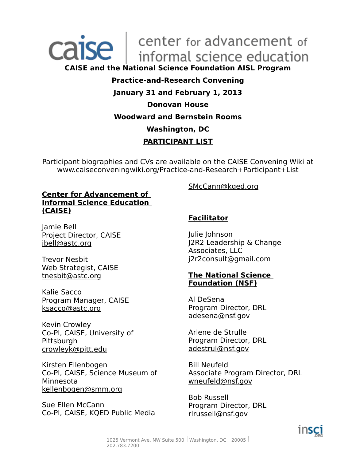

## **CAISE and the National Science Foundation AISL Program**

## **Practice-and-Research Convening**

## **January 31 and February 1, 2013**

## **Donovan House**

## **Woodward and Bernstein Rooms**

## **Washington, DC**

## **PARTICIPANT LIST**

Participant biographies and CVs are available on the CAISE Convening Wiki at www.caiseconveningwiki.org/Practice-and-Research+Participant+List

### **Center for Advancement of Informal Science Education (CAISE)**

Jamie Bell Project Director, CAISE jbell@astc.org

Trevor Nesbit Web Strategist, CAISE tnesbit@astc.org

Kalie Sacco Program Manager, CAISE ksacco@astc.org

Kevin Crowley Co-PI, CAISE, University of **Pittsburgh** crowleyk@pitt.edu

Kirsten Ellenbogen Co-PI, CAISE, Science Museum of Minnesota kellenbogen@smm.org

Sue Ellen McCann Co-PI, CAISE, KQED Public Media SMcCann@kqed.org

## **Facilitator**

Julie Johnson J2R2 Leadership & Change Associates, LLC j2r2consult@gmail.com

## **The National Science Foundation (NSF)**

Al DeSena Program Director, DRL adesena@nsf.gov

Arlene de Strulle Program Director, DRL adestrul@nsf.gov

Bill Neufeld Associate Program Director, DRL wneufeld@nsf.gov

Bob Russell Program Director, DRL rlrussell@nsf.gov

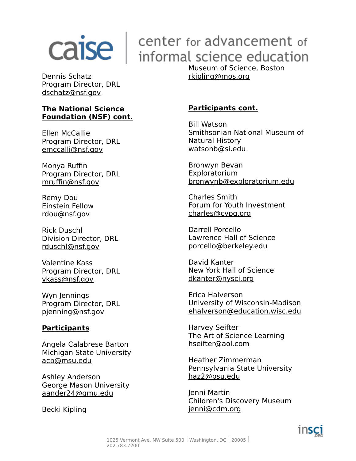## $\overline{calc}$   $\overline{care}$  for advancement of informal science education

Dennis Schatz Program Director, DRL dschatz@nsf.gov

## **The National Science Foundation (NSF) cont.**

Ellen McCallie Program Director, DRL emccalli@nsf.gov

Monya Ruffin Program Director, DRL mruffin@nsf.gov

Remy Dou Einstein Fellow rdou@nsf.gov

Rick Duschl Division Director, DRL rduschl@nsf.gov

Valentine Kass Program Director, DRL vkass@nsf.gov

Wyn Jennings Program Director, DRL pjenning@nsf.gov

## **Participants**

Angela Calabrese Barton Michigan State University acb@msu.edu

Ashley Anderson George Mason University aander24@gmu.edu

Becki Kipling

Museum of Science, Boston rkipling@mos.org

## **Participants cont.**

Bill Watson Smithsonian National Museum of Natural History watsonb@si.edu

Bronwyn Bevan Exploratorium bronwynb@exploratorium.edu

Charles Smith Forum for Youth Investment charles@cypq.org

Darrell Porcello Lawrence Hall of Science porcello@berkeley.edu

David Kanter New York Hall of Science dkanter@nysci.org

Erica Halverson University of Wisconsin-Madison ehalverson@education.wisc.edu

Harvey Seifter The Art of Science Learning hseifter@aol.com

Heather Zimmerman Pennsylvania State University haz2@psu.edu

Jenni Martin Children's Discovery Museum jenni@cdm.org